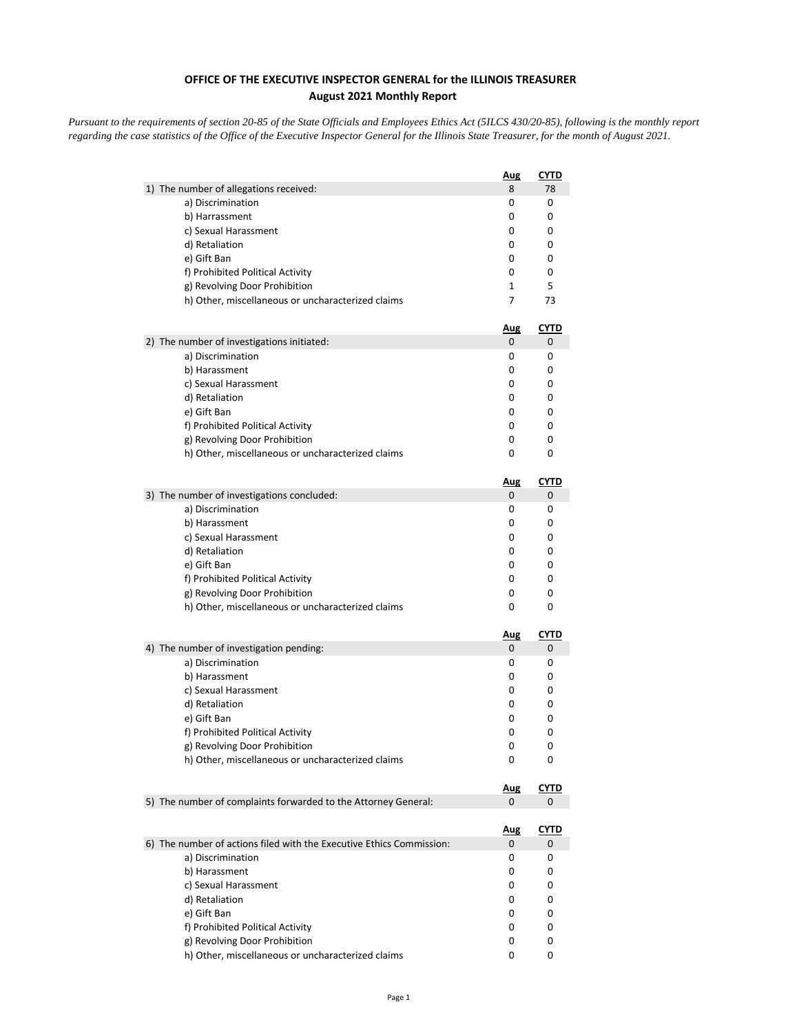## **OFFICE OF THE EXECUTIVE INSPECTOR GENERAL for the ILLINOIS TREASURER August 2021 Monthly Report**

*Pursuant to the requirements of section 20-85 of the State Officials and Employees Ethics Act (5ILCS 430/20-85), following is the monthly report regarding the case statistics of the Office of the Executive Inspector General for the Illinois State Treasurer, for the month of August 2021.* 

|                                                                      | <b>Aug</b> | CYTD        |
|----------------------------------------------------------------------|------------|-------------|
| 1) The number of allegations received:                               | 8          | 78          |
| a) Discrimination                                                    | 0          | 0           |
| b) Harrassment                                                       | 0          | 0           |
| c) Sexual Harassment                                                 | 0          | 0           |
| d) Retaliation                                                       | 0          | 0           |
| e) Gift Ban                                                          | 0          | 0           |
| f) Prohibited Political Activity                                     | 0          | 0           |
| g) Revolving Door Prohibition                                        | 1          | 5           |
| h) Other, miscellaneous or uncharacterized claims                    | 7          | 73          |
|                                                                      | <u>Aug</u> | <u>CYTD</u> |
| 2) The number of investigations initiated:                           | 0          | 0           |
| a) Discrimination                                                    | 0          | 0           |
| b) Harassment                                                        | 0          | 0           |
| c) Sexual Harassment                                                 | 0          | 0           |
| d) Retaliation                                                       | 0          | 0           |
| e) Gift Ban                                                          | 0          | 0           |
| f) Prohibited Political Activity                                     | 0          | 0           |
| g) Revolving Door Prohibition                                        | 0          | 0           |
| h) Other, miscellaneous or uncharacterized claims                    | 0          | 0           |
|                                                                      | <u>Aug</u> | <u>CYTD</u> |
| 3) The number of investigations concluded:                           | 0          | 0           |
| a) Discrimination                                                    | 0          | 0           |
| b) Harassment                                                        | 0          | 0           |
| c) Sexual Harassment                                                 | 0          | 0           |
| d) Retaliation                                                       | 0          | 0           |
| e) Gift Ban                                                          | 0          | 0           |
| f) Prohibited Political Activity                                     | 0          | 0           |
| g) Revolving Door Prohibition                                        | 0          | 0           |
| h) Other, miscellaneous or uncharacterized claims                    | 0          | 0           |
|                                                                      | <u>Aug</u> | <u>CYTD</u> |
| 4) The number of investigation pending:                              | 0          | 0           |
| a) Discrimination                                                    | 0          | 0           |
| b) Harassment                                                        | 0          | 0           |
| c) Sexual Harassment                                                 | 0          | 0           |
| d) Retaliation                                                       | 0          | 0           |
| e) Gift Ban                                                          | 0          | 0           |
| f) Prohibited Political Activity                                     | 0          | 0           |
| g) Revolving Door Prohibition                                        | 0          | 0           |
| h) Other, miscellaneous or uncharacterized claims                    | 0          | 0           |
|                                                                      | <u>Aug</u> | <u>CYTD</u> |
| 5) The number of complaints forwarded to the Attorney General:       | 0          | 0           |
|                                                                      | <u>Aug</u> | <b>CYTD</b> |
| 6) The number of actions filed with the Executive Ethics Commission: | 0          | 0           |
| a) Discrimination                                                    | 0          | 0           |
| b) Harassment                                                        | 0          | 0           |
| c) Sexual Harassment                                                 | 0          | 0           |
| d) Retaliation                                                       | 0          | 0           |
| e) Gift Ban                                                          | 0          | 0           |
| f) Prohibited Political Activity                                     | 0          | 0           |
| g) Revolving Door Prohibition                                        | 0          | 0           |
| h) Other, miscellaneous or uncharacterized claims                    | 0          | 0           |